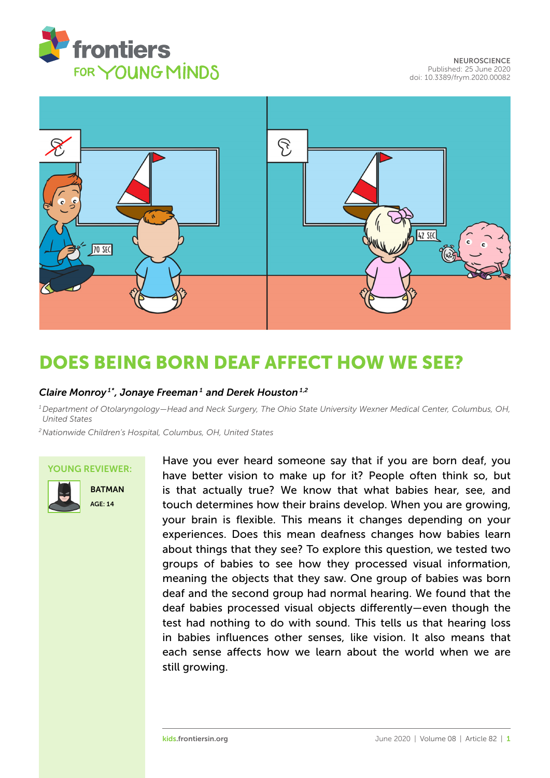



# [DOES BEING BORN DEAF AFFECT HOW WE SEE?](https://kids.frontiersin.org/article/10.3389/frym.2020.00082)

### *[Claire Monroy](https://loop.frontiersin.org/people/434582/overview) 1\*, [Jonaye Freeman](https://loop.frontiersin.org/people/892845/overview) <sup>1</sup> and [Derek Houston](https://loop.frontiersin.org/people/10551/overview) 1,2*

*<sup>1</sup>Department of Otolaryngology—Head and Neck Surgery, The Ohio State University Wexner Medical Center, Columbus, OH, United States*

*<sup>2</sup>Nationwide Children's Hospital, Columbus, OH, United States*

### YOUNG REVIEWER:



**BATMAN** AGE: 14

Have you ever heard someone say that if you are born deaf, you have better vision to make up for it? People often think so, but is that actually true? We know that what babies hear, see, and touch determines how their brains develop. When you are growing, your brain is flexible. This means it changes depending on your experiences. Does this mean deafness changes how babies learn about things that they see? To explore this question, we tested two groups of babies to see how they processed visual information, meaning the objects that they saw. One group of babies was born deaf and the second group had normal hearing. We found that the deaf babies processed visual objects differently—even though the test had nothing to do with sound. This tells us that hearing loss in babies influences other senses, like vision. It also means that each sense affects how we learn about the world when we are still growing.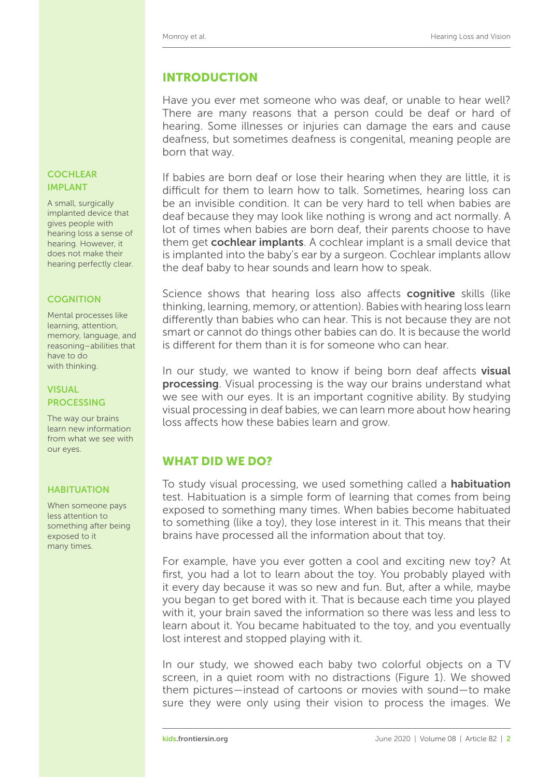# INTRODUCTION

Have you ever met someone who was deaf, or unable to hear well? There are many reasons that a person could be deaf or hard of hearing. Some illnesses or injuries can damage the ears and cause deafness, but sometimes deafness is congenital, meaning people are born that way.

If babies are born deaf or lose their hearing when they are little, it is difficult for them to learn how to talk. Sometimes, hearing loss can be an invisible condition. It can be very hard to tell when babies are deaf because they may look like nothing is wrong and act normally. A lot of times when babies are born deaf, their parents choose to have them get **cochlear implants**. A cochlear implant is a small device that is implanted into the baby's ear by a surgeon. Cochlear implants allow the deaf baby to hear sounds and learn how to speak.

cognition Science shows that hearing loss also affects cognitive skills (like thinking, learning, memory, or attention). Babies with hearing loss learn differently than babies who can hear. This is not because they are not smart or cannot do things other babies can do. It is because the world is different for them than it is for someone who can hear.

In our study, we wanted to know if being born deaf affects visual **processing**. Visual processing is the way our brains understand what VISUAL we see with our eyes. It is an important cognitive ability. By studying visual processing in deaf babies, we can learn more about how hearing loss affects how these babies learn and grow.

# WHAT DID WE DO?

HABITUATION To study visual processing, we used something called a **habituation** test. Habituation is a simple form of learning that comes from being exposed to something many times. When babies become habituated to something (like a toy), they lose interest in it. This means that their brains have processed all the information about that toy.

> For example, have you ever gotten a cool and exciting new toy? At first, you had a lot to learn about the toy. You probably played with it every day because it was so new and fun. But, after a while, maybe you began to get bored with it. That is because each time you played with it, your brain saved the information so there was less and less to learn about it. You became habituated to the toy, and you eventually lost interest and stopped playing with it.

> In our study, we showed each baby two colorful objects on a TV screen, in a quiet room with no distractions [\(Figure 1\)](#page-2-0). We showed them pictures—instead of cartoons or movies with sound—to make sure they were only using their vision to process the images. We

### **COCHLEAR** IMPLANT

A small, surgically implanted device that gives people with hearing loss a sense of hearing. However, it does not make their hearing perfectly clear.

Mental processes like learning, attention, memory, language, and reasoning–abilities that have to do with thinking.

# **PROCESSING**

The way our brains learn new information from what we see with our eyes.

When someone pays less attention to something after being exposed to it many times.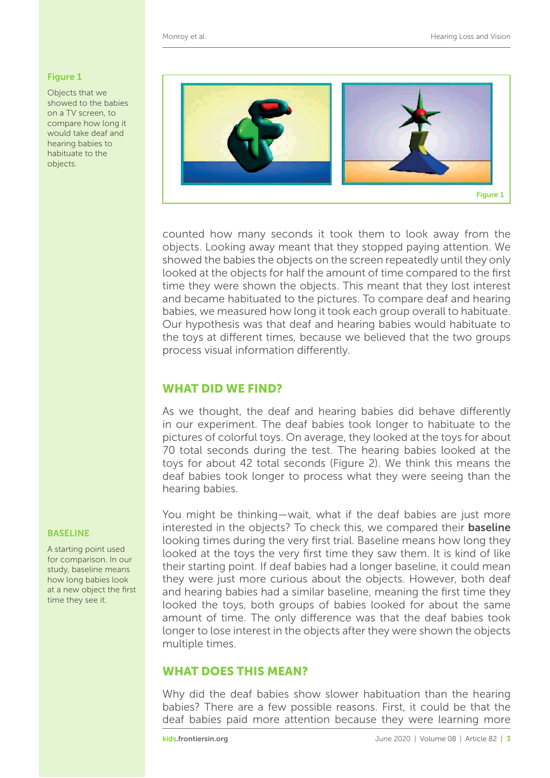### <span id="page-2-0"></span>Figure 1

Objects that we showed to the babies on a TV screen, to compare how long it would take deaf and hearing babies to habituate to the objects.



counted how many seconds it took them to look away from the objects. Looking away meant that they stopped paying attention. We showed the babies the objects on the screen repeatedly until they only looked at the objects for half the amount of time compared to the first time they were shown the objects. This meant that they lost interest and became habituated to the pictures. To compare deaf and hearing babies, we measured how long it took each group overall to habituate. Our hypothesis was that deaf and hearing babies would habituate to the toys at different times, because we believed that the two groups process visual information differently.

## WHAT DID WE FIND?

As we thought, the deaf and hearing babies did behave differently in our experiment. The deaf babies took longer to habituate to the pictures of colorful toys. On average, they looked at the toys for about 70 total seconds during the test. The hearing babies looked at the toys for about 42 total seconds [\(Figure 2\)](#page-3-0). We think this means the deaf babies took longer to process what they were seeing than the hearing babies.

You might be thinking—wait, what if the deaf babies are just more BASELINE interested in the objects? To check this, we compared their baseline looking times during the very first trial. Baseline means how long they looked at the toys the very first time they saw them. It is kind of like their starting point. If deaf babies had a longer baseline, it could mean they were just more curious about the objects. However, both deaf and hearing babies had a similar baseline, meaning the first time they looked the toys, both groups of babies looked for about the same amount of time. The only difference was that the deaf babies took longer to lose interest in the objects after they were shown the objects multiple times.

### WHAT DOES THIS MEAN?

Why did the deaf babies show slower habituation than the hearing babies? There are a few possible reasons. First, it could be that the deaf babies paid more attention because they were learning more

A starting point used for comparison. In our study, baseline means how long babies look at a new object the first time they see it.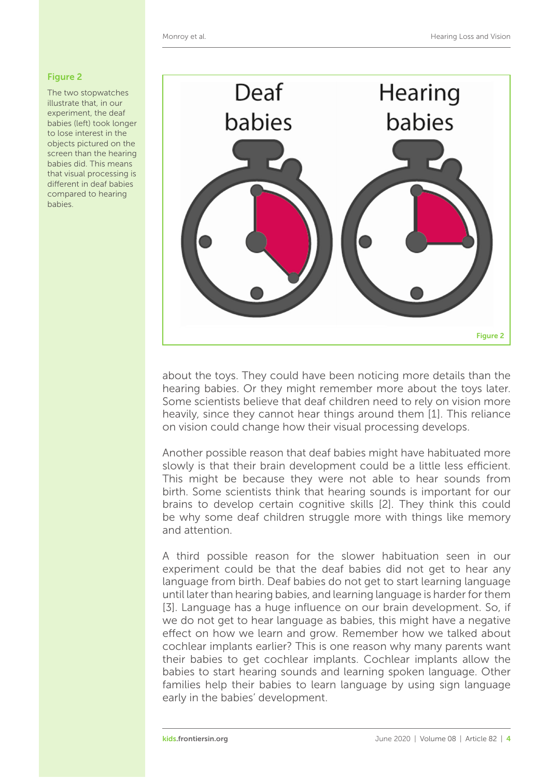### <span id="page-3-0"></span>Figure 2

The two stopwatches illustrate that, in our experiment, the deaf babies (left) took longer to lose interest in the objects pictured on the screen than the hearing babies did. This means that visual processing is different in deaf babies compared to hearing babies.



about the toys. They could have been noticing more details than the hearing babies. Or they might remember more about the toys later. Some scientists believe that deaf children need to rely on vision more heavily, since they cannot hear things around them [\[1\]](#page-4-0). This reliance on vision could change how their visual processing develops.

Another possible reason that deaf babies might have habituated more slowly is that their brain development could be a little less efficient. This might be because they were not able to hear sounds from birth. Some scientists think that hearing sounds is important for our brains to develop certain cognitive skills [\[2\]](#page-4-1). They think this could be why some deaf children struggle more with things like memory and attention.

A third possible reason for the slower habituation seen in our experiment could be that the deaf babies did not get to hear any language from birth. Deaf babies do not get to start learning language until later than hearing babies, and learning language is harder for them [\[3\]](#page-4-2). Language has a huge influence on our brain development. So, if we do not get to hear language as babies, this might have a negative effect on how we learn and grow. Remember how we talked about cochlear implants earlier? This is one reason why many parents want their babies to get cochlear implants. Cochlear implants allow the babies to start hearing sounds and learning spoken language. Other families help their babies to learn language by using sign language early in the babies' development.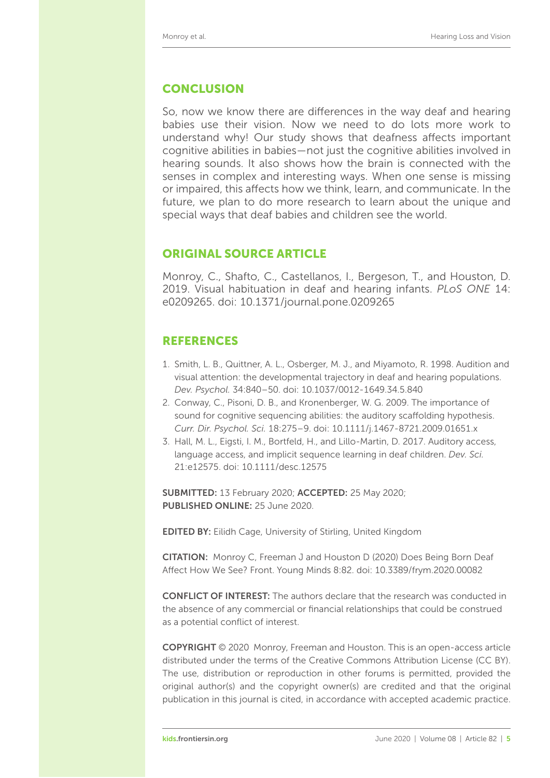## **CONCLUSION**

So, now we know there are differences in the way deaf and hearing babies use their vision. Now we need to do lots more work to understand why! Our study shows that deafness affects important cognitive abilities in babies—not just the cognitive abilities involved in hearing sounds. It also shows how the brain is connected with the senses in complex and interesting ways. When one sense is missing or impaired, this affects how we think, learn, and communicate. In the future, we plan to do more research to learn about the unique and special ways that deaf babies and children see the world.

## ORIGINAL SOURCE ARTICLE

Monroy, C., Shafto, C., Castellanos, I., Bergeson, T., and Houston, D. 2019. Visual habituation in deaf and hearing infants. *PLoS ONE* 14: e0209265. doi: [10.1371/journal.pone.0209265](https://doi.org/10.1371/journal.pone.0209265)

# REFERENCES

- <span id="page-4-0"></span>1. Smith, L. B., Quittner, A. L., Osberger, M. J., and Miyamoto, R. 1998. Audition and visual attention: the developmental trajectory in deaf and hearing populations. *Dev. Psychol.* 34:840–50. doi: [10.1037/0012-1649.34.5.840](https://doi.org/10.1037/0012-1649.34.5.840)
- <span id="page-4-1"></span>2. Conway, C., Pisoni, D. B., and Kronenberger, W. G. 2009. The importance of sound for cognitive sequencing abilities: the auditory scaffolding hypothesis. *Curr. Dir. Psychol. Sci.* 18:275–9. doi: [10.1111/j.1467-8721.2009.01651.x](https://doi.org/10.1111/j.1467-8721.2009.01651.x)
- <span id="page-4-2"></span>3. Hall, M. L., Eigsti, I. M., Bortfeld, H., and Lillo-Martin, D. 2017. Auditory access, language access, and implicit sequence learning in deaf children. *Dev. Sci.* 21:e12575. doi: [10.1111/desc.12575](https://doi.org/10.1111/desc.12575)

SUBMITTED: 13 February 2020; ACCEPTED: 25 May 2020; PUBLISHED ONLINE: 25 June 2020.

EDITED BY: [Eilidh Cage,](https://loop.frontiersin.org/people/609620) University of Stirling, United Kingdom

CITATION: Monroy C, Freeman J and Houston D (2020) Does Being Born Deaf Affect How We See? Front. Young Minds 8:82. doi: [10.3389/frym.2020.00082](https://doi.org/10.3389/frym.2020.00082)

CONFLICT OF INTEREST: The authors declare that the research was conducted in the absence of any commercial or financial relationships that could be construed as a potential conflict of interest.

COPYRIGHT © 2020 Monroy, Freeman and Houston. This is an open-access article distributed under the terms of the [Creative Commons Attribution License \(CC BY\).](https://creativecommons.org/licenses/by/4.0/) The use, distribution or reproduction in other forums is permitted, provided the original author(s) and the copyright owner(s) are credited and that the original publication in this journal is cited, in accordance with accepted academic practice.